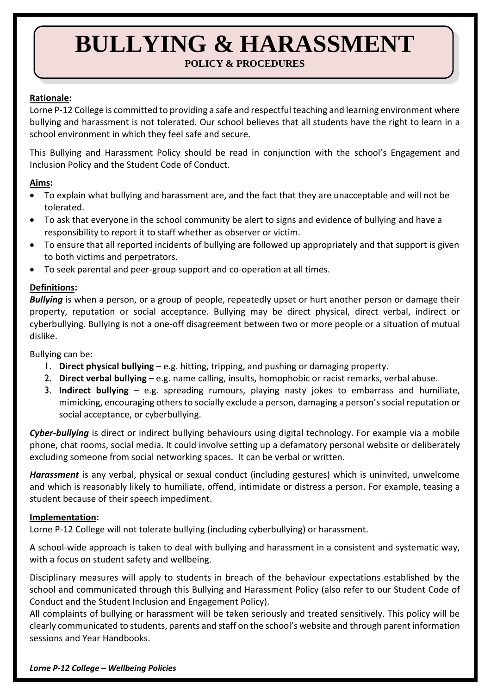# **BULLYING & HARASSMENT POLICY & PROCEDURES**

# **Rationale:**

Lorne P-12 College is committed to providing a safe and respectful teaching and learning environment where bullying and harassment is not tolerated. Our school believes that all students have the right to learn in a school environment in which they feel safe and secure.

This Bullying and Harassment Policy should be read in conjunction with the school's Engagement and Inclusion Policy and the Student Code of Conduct.

### **Aims:**

- To explain what bullying and harassment are, and the fact that they are unacceptable and will not be tolerated.
- To ask that everyone in the school community be alert to signs and evidence of bullying and have a responsibility to report it to staff whether as observer or victim.
- To ensure that all reported incidents of bullying are followed up appropriately and that support is given to both victims and perpetrators.
- To seek parental and peer-group support and co-operation at all times.

### **Definitions:**

*Bullying* is when a person, or a group of people, repeatedly upset or hurt another person or damage their property, reputation or social acceptance. Bullying may be direct physical, direct verbal, indirect or cyberbullying. Bullying is not a one-off disagreement between two or more people or a situation of mutual dislike.

Bullying can be:

- 1. **Direct physical bullying** e.g. hitting, tripping, and pushing or damaging property.
- 2. **Direct verbal bullying** e.g. name calling, insults, homophobic or racist remarks, verbal abuse.
- 3. **Indirect bullying** e.g. spreading rumours, playing nasty jokes to embarrass and humiliate, mimicking, encouraging others to socially exclude a person, damaging a person's social reputation or social acceptance, or cyberbullying.

*Cyber-bullying* is direct or indirect bullying behaviours using digital technology. For example via a mobile phone, chat rooms, social media. It could involve setting up a defamatory personal website or deliberately excluding someone from social networking spaces. It can be verbal or written.

*Harassment* is any verbal, physical or sexual conduct (including gestures) which is uninvited, unwelcome and which is reasonably likely to humiliate, offend, intimidate or distress a person. For example, teasing a student because of their speech impediment.

#### **Implementation:**

Lorne P-12 College will not tolerate bullying (including cyberbullying) or harassment.

A school-wide approach is taken to deal with bullying and harassment in a consistent and systematic way, with a focus on student safety and wellbeing.

Disciplinary measures will apply to students in breach of the behaviour expectations established by the school and communicated through this Bullying and Harassment Policy (also refer to our Student Code of Conduct and the Student Inclusion and Engagement Policy).

All complaints of bullying or harassment will be taken seriously and treated sensitively. This policy will be clearly communicated to students, parents and staff on the school's website and through parent information sessions and Year Handbooks.

*Lorne P-12 College – Wellbeing Policies*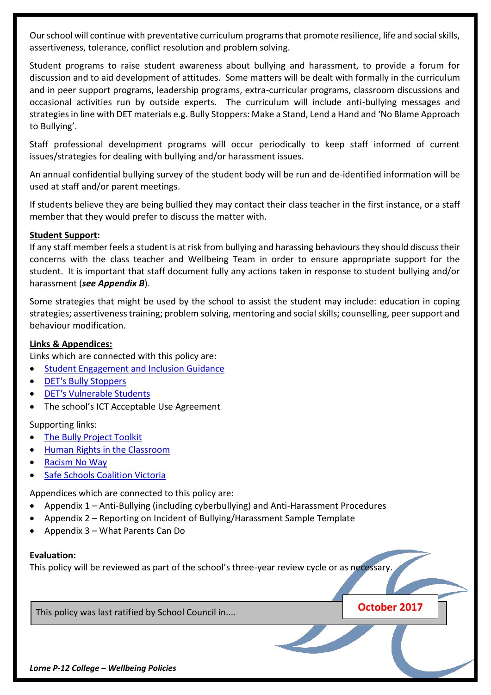Our school will continue with preventative curriculum programs that promote resilience, life and social skills, assertiveness, tolerance, conflict resolution and problem solving.

Student programs to raise student awareness about bullying and harassment, to provide a forum for discussion and to aid development of attitudes. Some matters will be dealt with formally in the curriculum and in peer support programs, leadership programs, extra-curricular programs, classroom discussions and occasional activities run by outside experts. The curriculum will include anti-bullying messages and strategies in line with DET materials e.g. Bully Stoppers: Make a Stand, Lend a Hand and 'No Blame Approach to Bullying'.

Staff professional development programs will occur periodically to keep staff informed of current issues/strategies for dealing with bullying and/or harassment issues.

An annual confidential bullying survey of the student body will be run and de-identified information will be used at staff and/or parent meetings.

If students believe they are being bullied they may contact their class teacher in the first instance, or a staff member that they would prefer to discuss the matter with.

### **Student Support:**

If any staff member feels a student is at risk from bullying and harassing behaviours they should discuss their concerns with the class teacher and Wellbeing Team in order to ensure appropriate support for the student. It is important that staff document fully any actions taken in response to student bullying and/or harassment (*see Appendix B*).

Some strategies that might be used by the school to assist the student may include: education in coping strategies; assertiveness training; problem solving, mentoring and social skills; counselling, peer support and behaviour modification.

### **Links & Appendices:**

Links which are connected with this policy are:

- [Student Engagement and Inclusion Guidance](http://www.education.vic.gov.au/school/principals/participation/Pages/studentengagementguidance.aspx)
- [DET's Bully Stoppers](http://www.education.vic.gov.au/about/programs/bullystoppers/Pages/default.aspx)
- [DET's Vulnerable Students](http://www.education.vic.gov.au/about/programs/bullystoppers/Pages/vulnerable.aspx)
- The school's ICT Acceptable Use Agreement

Supporting links:

- [The Bully Project Toolkit](http://specialneeds.thebullyproject.com/toolkit)
- [Human Rights in the Classroom](http://www.humanrights.gov.au/education/human-rights-school-classroom)
- [Racism No Way](http://www.racismnoway.com.au/)
- **[Safe Schools Coalition Victoria](https://sscv.org.au/)**

Appendices which are connected to this policy are:

- Appendix 1 Anti-Bullying (including cyberbullying) and Anti-Harassment Procedures
- Appendix 2 Reporting on Incident of Bullying/Harassment Sample Template
- Appendix 3 What Parents Can Do

#### **Evaluation:**

This policy will be reviewed as part of the school's three-year review cycle or as necessary.

This policy was last ratified by School Council in.... **October 2017**

*Lorne P-12 College – Wellbeing Policies*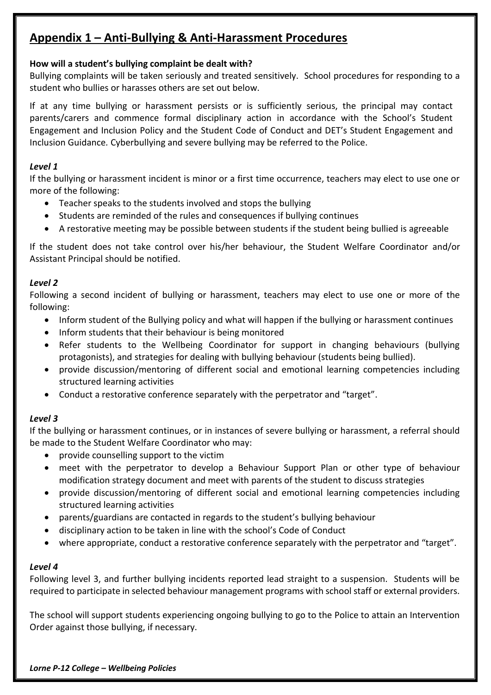# **Appendix 1 – Anti-Bullying & Anti-Harassment Procedures**

# **How will a student's bullying complaint be dealt with?**

Bullying complaints will be taken seriously and treated sensitively. School procedures for responding to a student who bullies or harasses others are set out below.

If at any time bullying or harassment persists or is sufficiently serious, the principal may contact parents/carers and commence formal disciplinary action in accordance with the School's Student Engagement and Inclusion Policy and the Student Code of Conduct and DET's Student Engagement and Inclusion Guidance*.* Cyberbullying and severe bullying may be referred to the Police.

# *Level 1*

If the bullying or harassment incident is minor or a first time occurrence, teachers may elect to use one or more of the following:

- Teacher speaks to the students involved and stops the bullying
- Students are reminded of the rules and consequences if bullying continues
- A restorative meeting may be possible between students if the student being bullied is agreeable

If the student does not take control over his/her behaviour, the Student Welfare Coordinator and/or Assistant Principal should be notified.

# *Level 2*

Following a second incident of bullying or harassment, teachers may elect to use one or more of the following:

- Inform student of the Bullying policy and what will happen if the bullying or harassment continues
- Inform students that their behaviour is being monitored
- Refer students to the Wellbeing Coordinator for support in changing behaviours (bullying protagonists), and strategies for dealing with bullying behaviour (students being bullied).
- provide discussion/mentoring of different social and emotional learning competencies including structured learning activities
- Conduct a restorative conference separately with the perpetrator and "target".

# *Level 3*

If the bullying or harassment continues, or in instances of severe bullying or harassment, a referral should be made to the Student Welfare Coordinator who may:

- provide counselling support to the victim
- meet with the perpetrator to develop a Behaviour Support Plan or other type of behaviour modification strategy document and meet with parents of the student to discuss strategies
- provide discussion/mentoring of different social and emotional learning competencies including structured learning activities
- parents/guardians are contacted in regards to the student's bullying behaviour
- disciplinary action to be taken in line with the school's Code of Conduct
- where appropriate, conduct a restorative conference separately with the perpetrator and "target".

# *Level 4*

Following level 3, and further bullying incidents reported lead straight to a suspension. Students will be required to participate in selected behaviour management programs with school staff or external providers.

The school will support students experiencing ongoing bullying to go to the Police to attain an Intervention Order against those bullying, if necessary.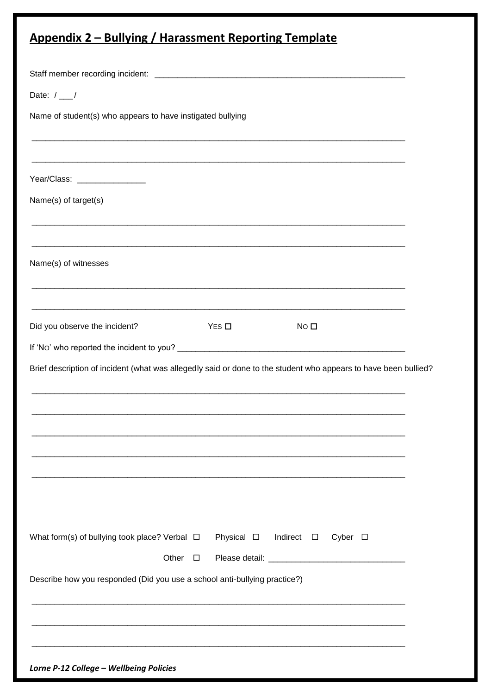| Date: $/$ __/<br>Name of student(s) who appears to have instigated bullying<br>Year/Class: ________________<br>Name(s) of target(s)<br><u> 1980 - Johann Stoff, deutscher Stoff, der Stoff, der Stoff, der Stoff, der Stoff, der Stoff, der Stoff, der S</u><br>Name(s) of witnesses<br>Did you observe the incident?<br>$Yes \Box$<br>NO <sub>II</sub><br>What form(s) of bullying took place? Verbal $\Box$<br>Physical $\Box$<br>Indirect □<br>Cyber $\Box$<br>Other $\square$<br>Describe how you responded (Did you use a school anti-bullying practice?) | <b>Appendix 2 – Bullying / Harassment Reporting Template</b>                                                    |
|----------------------------------------------------------------------------------------------------------------------------------------------------------------------------------------------------------------------------------------------------------------------------------------------------------------------------------------------------------------------------------------------------------------------------------------------------------------------------------------------------------------------------------------------------------------|-----------------------------------------------------------------------------------------------------------------|
|                                                                                                                                                                                                                                                                                                                                                                                                                                                                                                                                                                |                                                                                                                 |
|                                                                                                                                                                                                                                                                                                                                                                                                                                                                                                                                                                |                                                                                                                 |
|                                                                                                                                                                                                                                                                                                                                                                                                                                                                                                                                                                |                                                                                                                 |
|                                                                                                                                                                                                                                                                                                                                                                                                                                                                                                                                                                |                                                                                                                 |
|                                                                                                                                                                                                                                                                                                                                                                                                                                                                                                                                                                |                                                                                                                 |
|                                                                                                                                                                                                                                                                                                                                                                                                                                                                                                                                                                |                                                                                                                 |
|                                                                                                                                                                                                                                                                                                                                                                                                                                                                                                                                                                |                                                                                                                 |
|                                                                                                                                                                                                                                                                                                                                                                                                                                                                                                                                                                |                                                                                                                 |
|                                                                                                                                                                                                                                                                                                                                                                                                                                                                                                                                                                |                                                                                                                 |
|                                                                                                                                                                                                                                                                                                                                                                                                                                                                                                                                                                |                                                                                                                 |
|                                                                                                                                                                                                                                                                                                                                                                                                                                                                                                                                                                | Brief description of incident (what was allegedly said or done to the student who appears to have been bullied? |
|                                                                                                                                                                                                                                                                                                                                                                                                                                                                                                                                                                |                                                                                                                 |
|                                                                                                                                                                                                                                                                                                                                                                                                                                                                                                                                                                |                                                                                                                 |
|                                                                                                                                                                                                                                                                                                                                                                                                                                                                                                                                                                |                                                                                                                 |
|                                                                                                                                                                                                                                                                                                                                                                                                                                                                                                                                                                |                                                                                                                 |
|                                                                                                                                                                                                                                                                                                                                                                                                                                                                                                                                                                |                                                                                                                 |
|                                                                                                                                                                                                                                                                                                                                                                                                                                                                                                                                                                |                                                                                                                 |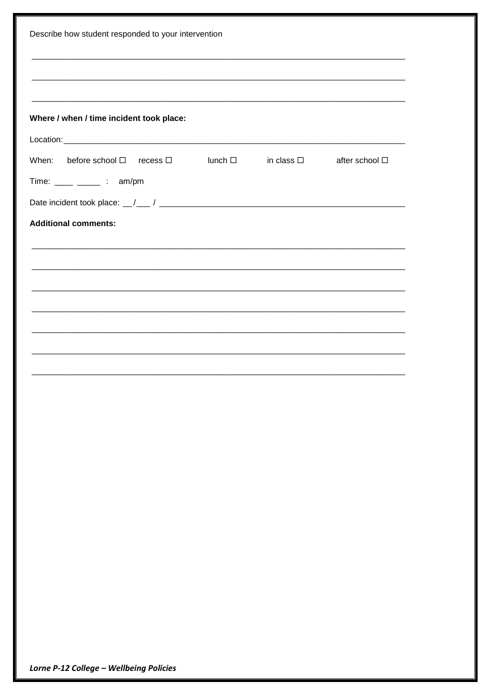| Describe how student responded to your intervention                   |  |  |                |  |
|-----------------------------------------------------------------------|--|--|----------------|--|
|                                                                       |  |  |                |  |
|                                                                       |  |  |                |  |
|                                                                       |  |  |                |  |
| Where / when / time incident took place:                              |  |  |                |  |
|                                                                       |  |  |                |  |
| When: before school $\Box$ recess $\Box$ lunch $\Box$ in class $\Box$ |  |  | after school □ |  |
| Time: $\frac{1}{\sqrt{2}}$ : am/pm                                    |  |  |                |  |
|                                                                       |  |  |                |  |
| <b>Additional comments:</b>                                           |  |  |                |  |
|                                                                       |  |  |                |  |
|                                                                       |  |  |                |  |
| <u> 1989 - Jan Barnett, fransk politik (f. 1989)</u>                  |  |  |                |  |
|                                                                       |  |  |                |  |
|                                                                       |  |  |                |  |
|                                                                       |  |  |                |  |
|                                                                       |  |  |                |  |
|                                                                       |  |  |                |  |
|                                                                       |  |  |                |  |
|                                                                       |  |  |                |  |
|                                                                       |  |  |                |  |
|                                                                       |  |  |                |  |
|                                                                       |  |  |                |  |
|                                                                       |  |  |                |  |
|                                                                       |  |  |                |  |
|                                                                       |  |  |                |  |
|                                                                       |  |  |                |  |
|                                                                       |  |  |                |  |
|                                                                       |  |  |                |  |
|                                                                       |  |  |                |  |
|                                                                       |  |  |                |  |

Lorne P-12 College - Wellbeing Policies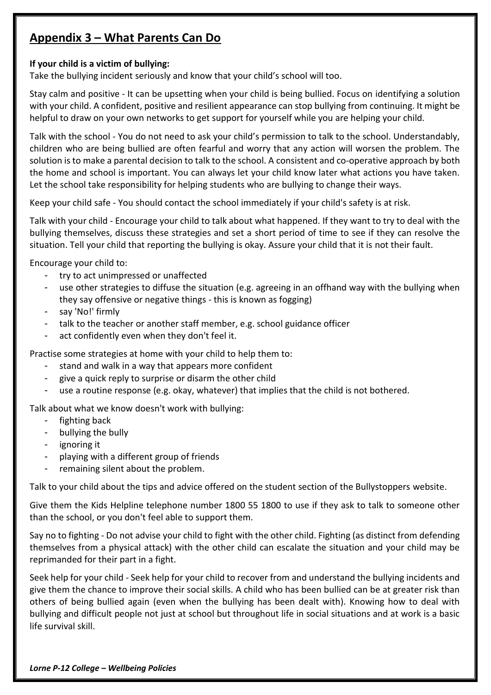# **Appendix 3 – What Parents Can Do**

# **If your child is a victim of bullying:**

Take the bullying incident seriously and know that your child's school will too.

Stay calm and positive - It can be upsetting when your child is being bullied. Focus on identifying a solution with your child. A confident, positive and resilient appearance can stop bullying from continuing. It might be helpful to draw on your own networks to get support for yourself while you are helping your child.

Talk with the school - You do not need to ask your child's permission to talk to the school. Understandably, children who are being bullied are often fearful and worry that any action will worsen the problem. The solution is to make a parental decision to talk to the school. A consistent and co-operative approach by both the home and school is important. You can always let your child know later what actions you have taken. Let the school take responsibility for helping students who are bullying to change their ways.

Keep your child safe - You should contact the school immediately if your child's safety is at risk.

Talk with your child - Encourage your child to talk about what happened. If they want to try to deal with the bullying themselves, discuss these strategies and set a short period of time to see if they can resolve the situation. Tell your child that reporting the bullying is okay. Assure your child that it is not their fault.

Encourage your child to:

- try to act unimpressed or unaffected
- use other strategies to diffuse the situation (e.g. agreeing in an offhand way with the bullying when they say offensive or negative things - this is known as fogging)
- say 'No!' firmly
- talk to the teacher or another staff member, e.g. school guidance officer
- act confidently even when they don't feel it.

Practise some strategies at home with your child to help them to:

- stand and walk in a way that appears more confident
- give a quick reply to surprise or disarm the other child
- use a routine response (e.g. okay, whatever) that implies that the child is not bothered.

Talk about what we know doesn't work with bullying:

- fighting back
- bullying the bully
- ignoring it
- playing with a different group of friends
- remaining silent about the problem.

Talk to your child about the tips and advice offered on the student section of the Bullystoppers website.

Give them the Kids Helpline telephone number 1800 55 1800 to use if they ask to talk to someone other than the school, or you don't feel able to support them.

Say no to fighting - Do not advise your child to fight with the other child. Fighting (as distinct from defending themselves from a physical attack) with the other child can escalate the situation and your child may be reprimanded for their part in a fight.

Seek help for your child - Seek help for your child to recover from and understand the bullying incidents and give them the chance to improve their social skills. A child who has been bullied can be at greater risk than others of being bullied again (even when the bullying has been dealt with). Knowing how to deal with bullying and difficult people not just at school but throughout life in social situations and at work is a basic life survival skill.

*Lorne P-12 College – Wellbeing Policies*